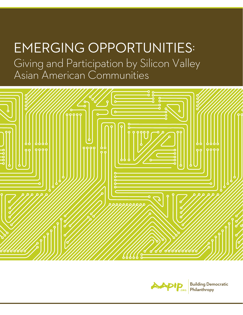# EMERGING OPPORTUNITIES: Giving and Participation by Silicon Valley Asian American Communities



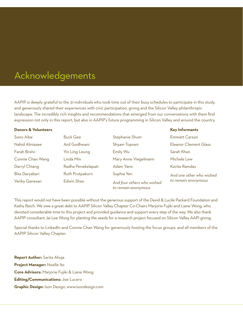# Acknowledgements

AAPIP is deeply grateful to the 31 individuals who took time out of their busy schedules to participate in this study, and generously shared their experiences with civic participation, giving and the Silicon Valley philanthropic landscape. The incredibly rich insights and recommendations that emerged from our conversations with them find expression not only in this report, but also in AAPIP's future programming in Silicon Valley and around the country.

**Key Informants**

### **Donors & Volunteers**

| Sono Aibe        | <b>Buck Gee</b>    | Stephanie Shum                                    | <b>Emmett Carson</b>         |  |
|------------------|--------------------|---------------------------------------------------|------------------------------|--|
| Nahid Aliniazee  | Anil Godhwani      | Shyam Toprani                                     | <b>Eleanor Clement Glass</b> |  |
| Farah Brelvi     | Yin Ling Leung     | Emily Wu                                          | Sarah Khan                   |  |
| Connie Chan Wang | Linda Min          | Mary Anne Viegelmann                              | Michele Lew                  |  |
| Darryl Chiang    | Radha Penekelapati | Adam Yano                                         | Kavita Ramdas                |  |
| Bita Daryabari   | Ruth Protpakorn    | Sophia Yen                                        | And one other who wished     |  |
| Venky Ganesan    | Edwin Shao         | And four others who wished<br>to remain anonymous | to remain anonymous          |  |

This report would not have been possible without the generous support of the David & Lucile Packard Foundation and Kathy Reich. We owe a great debt to AAPIP Silicon Valley Chapter Co-Chairs Marjorie Fujiki and Liane Wong, who devoted considerable time to this project and provided guidance and support every step of the way. We also thank AAPIP consultant Jai Lee Wong for planting the seeds for a research project focused on Silicon Valley AAPI giving.

Special thanks to LinkedIn and Connie Chan Wang for generously hosting the focus groups, and all members of the AAPIP Silicon Valley Chapter.

**Report Author:** Sarita Ahuja **Project Manager:** Noelle Ito **Core Advisors:** Marjorie Fujiki & Liane Wong **Editing/Communications:** Joe Lucero **Graphic Design:** Ison Design, www.isondesign.com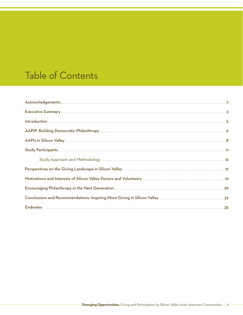# Table of Contents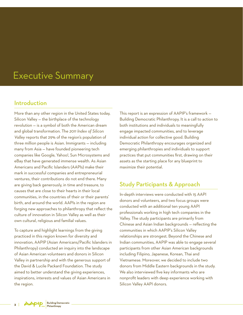# Executive Summary

### Introduction

More than any other region in the United States today, Silicon Valley — the birthplace of the technology revolution — is a symbol of both the American dream and global transformation. The *2011 Index of Silicon Valley* reports that 29% of the region's population of three million people is Asian. Immigrants — including many from Asia — have founded pioneering tech companies like Google, Yahoo!, Sun Microsystems and eBay that have generated immense wealth. As Asian Americans and Pacific Islanders (AAPIs) make their mark in successful companies and entrepreneurial ventures, their contributions do not end there. Many are giving back generously, in time and treasure, to causes that are close to their hearts in their local communities, in the countries of their or their parents' birth, and around the world. AAPIs in the region are forging new approaches to philanthropy that reflect the culture of innovation in Silicon Valley as well as their own cultural, religious and familial values.

To capture and highlight learnings from the giving practiced in this region known for diversity and innovation, AAPIP (Asian Americans/Pacific Islanders in Philanthropy) conducted an inquiry into the landscape of Asian American volunteers and donors in Silicon Valley in partnership and with the generous support of the David & Lucile Packard Foundation. The study aimed to better understand the giving experiences, inspirations, interests and values of Asian Americans in the region.

This report is an expression of AAPIP's framework — Building Democratic Philanthropy. It is a call to action to both institutions and individuals to meaningfully engage impacted communities, and to leverage individual action for collective good. Building Democratic Philanthropy encourages organized and emerging philanthropies and individuals to support practices that put communities first, drawing on their assets as the starting place for any blueprint to maximize their potential.

# Study Participants & Approach

In-depth interviews were conducted with 15 AAPI donors and volunteers, and two focus groups were conducted with an additional ten young AAPI professionals working in high tech companies in the Valley. The study participants are primarily from Chinese and Asian Indian backgrounds — reflecting the communities in which AAPIP's Silicon Valley relationships are strongest. Beyond the Chinese and Indian communities, AAPIP was able to engage several participants from other Asian American backgrounds including Filipino, Japanese, Korean, Thai and Vietnamese. Moreover, we decided to include two donors from Middle Eastern backgrounds in the study. We also interviewed five key informants who are nonprofit leaders with deep experience working with Silicon Valley AAPI donors.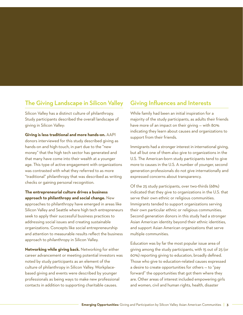# The Giving Landscape in Silicon Valley

Silicon Valley has a distinct culture of philanthropy. Study participants described the overall landscape of giving in Silicon Valley:

**Giving is less traditional and more hands-on.** AAPI donors interviewed for this study described giving as hands-on and high-touch, in part due to the "new money" that the high tech sector has generated and that many have come into their wealth at a younger age. This type of active engagement with organizations was contrasted with what they referred to as more "traditional" philanthropy that was described as writing checks or gaining personal recognition.

**The entrepreneurial culture drives a business approach to philanthropy and social change.** New approaches to philanthropy have emerged in areas like Silicon Valley and Seattle where high tech entrepreneurs seek to apply their successful business practices to addressing social issues and creating sustainable organizations. Concepts like social entrepreneurship and attention to measurable results reflect the business approach to philanthropy in Silicon Valley.

**Networking while giving back.** Networking for either career advancement or meeting potential investors was noted by study participants as an element of the culture of philanthropy in Silicon Valley. Workplacebased giving and events were described by younger professionals as being ways to make new professional contacts in addition to supporting charitable causes.

## Giving Influences and Interests

While family had been an initial inspiration for a majority of the study participants, as adults their friends have more of an impact on their giving — with 80% indicating they learn about causes and organizations to support from their friends.

Immigrants had a stronger interest in international giving, but all but one of them also give to organizations in the U.S. The American-born study participants tend to give more to causes in the U.S. A number of younger, second generation professionals do not give internationally and expressed concerns about transparency.

Of the 25 study participants, over two-thirds (68%) indicated that they give to organizations in the U.S. that serve their own ethnic or religious communities. Immigrants tended to support organizations serving their own particular ethnic or religious communities. Second generation donors in this study had a stronger Asian American identity beyond their ethnic identities, and support Asian American organizations that serve multiple communities.

Education was by far the most popular issue area of giving among the study participants, with 15 out of 25 (or 60%) reporting giving to education, broadly defined. Those who give to education-related causes expressed a desire to create opportunities for others — to "pay forward" the opportunities that got them where they are. Other areas of interest included empowering girls and women, civil and human rights, health, disaster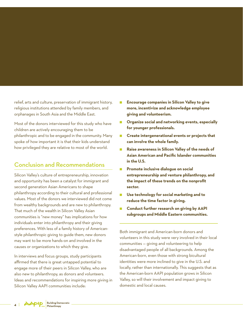relief, arts and culture, preservation of immigrant history, religious institutions attended by family members, and orphanages in South Asia and the Middle East.

Most of the donors interviewed for this study who have children are actively encouraging them to be philanthropic and to be engaged in the community. Many spoke of how important it is that their kids understand how privileged they are relative to most of the world.

# Conclusion and Recommendations

Silicon Valley's culture of entrepreneurship, innovation and opportunity has been a catalyst for immigrant and second generation Asian Americans to shape philanthropy according to their cultural and professional values. Most of the donors we interviewed did not come from wealthy backgrounds and are new to philanthropy. That much of the wealth in Silicon Valley Asian communities is "new money" has implications for how individuals enter into philanthropy and their giving preferences. With less of a family history of Americanstyle philanthropic giving to guide them, new donors may want to be more hands-on and involved in the causes or organizations to which they give.

In interviews and focus groups, study participants affirmed that there is great untapped potential to engage more of their peers in Silicon Valley, who are also new to philanthropy, as donors and volunteers. Ideas and recommendations for inspiring more giving in Silicon Valley AAPI communities include:

- **Encourage companies in Silicon Valley to give more, incentivize and acknowledge employee giving and volunteerism.**
- Q **Organize social and networking events, especially for younger professionals.**
- Q **Create intergenerational events or projects that can involve the whole family.**
- Q **Raise awareness in Silicon Valley of the needs of Asian American and Pacific Islander communities in the U.S.**
- Q **Promote inclusive dialogue on social entrepreneurship and venture philanthropy, and the impact of these trends on the nonprofit sector.**
- Q **Use technology for social marketing and to reduce the time factor in giving.**
- Q **Conduct further research on giving by AAPI subgroups and Middle Eastern communities.**

Both immigrant and American-born donors and volunteers in this study were very involved in their local communities — giving and volunteering to help disadvantaged people of all backgrounds. Among the American-born, even those with strong bicultural identities were more inclined to give in the U.S. and locally, rather than internationally. This suggests that as the American-born AAPI population grows in Silicon Valley, so will their involvement and impact giving to domestic and local causes.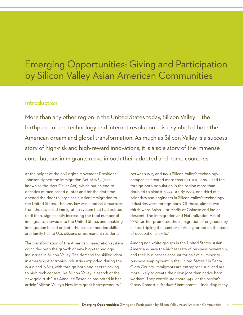# Emerging Opportunities: Giving and Participation by Silicon Valley Asian American Communities

### Introduction

More than any other region in the United States today, Silicon Valley — the birthplace of the technology and internet revolution — is a symbol of both the American dream and global transformation. As much as Silicon Valley is a success story of high-risk and high-reward innovations, it is also a story of the immense contributions immigrants make in both their adopted and home countries.

At the height of the civil rights movement President Johnson signed the Immigration Act of 1965 (also known as the Hart-Cellar Act), which put an end to decades of race-based quotas and for the first time opened the door to large-scale Asian immigration to the United States. The 1965 law was a radical departure from the racialized immigration system that had existed until then,' significantly increasing the total number of immigrants allowed into the United States and enabling immigration based on both the basis of needed skills and family ties to U.S. citizens or permanent residents.

The transformation of the American immigration system coincided with the growth of new high-technology industries in Silicon Valley. The demand for skilled labor in emerging electronics industries exploded during the 1970s and 1980s, with foreign-born engineers flocking to high tech centers like Silicon Valley in search of the "new gold rush." As AnnaLee Saxenian has noted in her article "Silicon Valley's New Immigrant Entrepreneurs,"

between 1975 and 1990 Silicon Valley's technology companies created more than 150,000 jobs — and the foreign-born population in the region more than doubled to almost 350,000. By 1990, one third of all scientists and engineers in Silicon Valley's technology industries were foreign-born. Of those, almost two thirds were Asian — primarily of Chinese and Indian descent. The Immigration and Naturalization Act of 1990 further promoted the immigration of engineers by almost tripling the number of visas granted on the basis of occupational skills.<sup>2</sup>

Among non-white groups in the United States, Asian Americans have the highest rate of business ownership, and their businesses account for half of all minority business employment in the United States.<sup>3</sup> In Santa Clara County, immigrants are entrepreneurial and are more likely to create their own jobs than native born workers. They contribute about 44% of the region's Gross Domestic Product.4 Immigrants — including many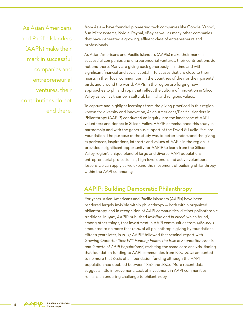As Asian Americans and Pacific Islanders (AAPIs) make their mark in successful companies and entrepreneurial ventures, their contributions do not end there. from Asia — have founded pioneering tech companies like Google, Yahoo!, Sun Microsystems, Nvidia, Paypal, eBay as well as many other companies that have generated a growing, affluent class of entrepreneurs and professionals.

As Asian Americans and Pacific Islanders (AAPIs) make their mark in successful companies and entrepreneurial ventures, their contributions do not end there. Many are giving back generously — in time and with significant financial and social capital — to causes that are close to their hearts in their local communities, in the countries of their or their parents' birth, and around the world. AAPIs in the region are forging new approaches to philanthropy that reflect the culture of innovation in Silicon Valley as well as their own cultural, familial and religious values.

To capture and highlight learnings from the giving practiced in this region known for diversity and innovation, Asian Americans/Pacific Islanders in Philanthropy (AAPIP) conducted an inquiry into the landscape of AAPI volunteers and donors in Silicon Valley. AAPIP commissioned this study in partnership and with the generous support of the David & Lucile Packard Foundation. The purpose of the study was to better understand the giving experiences, inspirations, interests and values of AAPIs in the region. It provided a significant opportunity for AAPIP to learn from the Silicon Valley region's unique blend of large and diverse AAPI populations, entrepreneurial professionals, high-level donors and active volunteers lessons we can apply as we expand the movement of building philanthropy within the AAPI community.

# AAPIP: Building Democratic Philanthropy

For years, Asian Americans and Pacific Islanders (AAPIs) have been rendered largely invisible within philanthropy — both within organized philanthropy, and in recognition of AAPI communities' distinct philanthropic traditions. In 1992, AAPIP published *Invisible and In Need*, which found, among other things, that investment in AAPI communities from 1984–1990 amounted to no more that 0.2% of all philanthropic giving by foundations. Fifteen years later, in 2007 AAPIP followed that seminal report with *Growing Opportunities: Will Funding Follow the Rise in Foundation Assets and Growth of AAPI Populations?,* revisiting the same core analysis, finding that foundation funding to AAPI communities from 1990–2002 amounted to no more that 0.4% of all foundation funding although the AAPI population had doubled between 1990 and 2004. More recent data suggests little improvement. Lack of investment in AAPI communities remains an enduring challenge to philanthropy.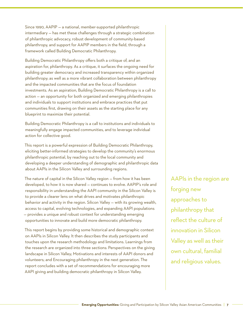Since 1990, AAPIP — a national, member-supported philanthropic intermediary — has met these challenges through a strategic combination of philanthropic advocacy, robust development of community-based philanthropy, and support for AAPIP members in the field, through a framework called Building Democratic Philanthropy.

Building Democratic Philanthropy offers both a critique of, and an aspiration for, philanthropy. As a critique, it surfaces the ongoing need for building greater democracy and increased transparency within organized philanthropy; as well as a more vibrant collaboration between philanthropy and the impacted communities that are the focus of foundation investments. As an aspiration, Building Democratic Philanthropy is a call to action — an opportunity for both organized and emerging philanthropies and individuals to support institutions and embrace practices that put communities first, drawing on their assets as the starting place for any blueprint to maximize their potential.

Building Democratic Philanthropy is a call to institutions and individuals to meaningfully engage impacted communities, and to leverage individual action for collective good.

This report is a powerful expression of Building Democratic Philanthropy, eliciting better-informed strategies to develop the community's enormous philanthropic potential, by reaching out to the local community and developing a deeper understanding of demographic and philanthropic data about AAPIs in the Silicon Valley and surrounding regions.

The nature of capital in the Silicon Valley region — from how it has been developed, to how it is now shared — continues to evolve. AAPIP's role and responsibility in understanding the AAPI community in the Silicon Valley is to provide a clearer lens on what drives and motivates philanthropic behavior and activity in the region. Silicon Valley — with its growing wealth, access to capital, evolving technologies, and expanding AAPI populations — provides a unique and robust context for understanding emerging opportunities to innovate and build more democratic philanthropy.

This report begins by providing some historical and demographic context on AAPIs in Silicon Valley. It then describes the study participants and touches upon the research methodology and limitations. Learnings from the research are organized into three sections: Perspectives on the giving landscape in Silicon Valley; Motivations and interests of AAPI donors and volunteers; and Encouraging philanthropy in the next generation. The report concludes with a set of recommendations for encouraging more AAPI giving and building democratic philanthropy in Silicon Valley.

AAPIs in the region are forging new approaches to philanthropy that reflect the culture of innovation in Silicon Valley as well as their own cultural, familial and religious values.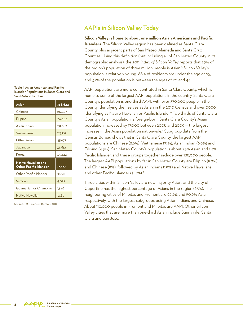Table I. Asian American and Pacific Islander Populations in Santa Clara and San Mateo Counties

| Asian                                         | 748,642 |  |
|-----------------------------------------------|---------|--|
| Chinese                                       | 217,497 |  |
| Filipino                                      | 157,603 |  |
| Asian Indian                                  | 131,082 |  |
| Vietnamese                                    | 129,187 |  |
| Other Asian                                   | 45,977  |  |
| Japanese                                      | 33,854  |  |
| Korean                                        | 33.442  |  |
| Native Hawaiian and<br>Other Pacific Islander | 17,377  |  |
| Other Pacific Islander                        | 10,311  |  |
| Samoan                                        | 4,029   |  |
| Guamanian or Chamorro                         | 1,548   |  |
| Native Hawaiian                               | 1,489   |  |

Source: U.C. Census Bureau, 2011.

# AAPIs in Silicon Valley Today

**Silicon Valley is home to about one million Asian Americans and Pacific Islanders.** The Silicon Valley region has been defined as Santa Clara County plus adjacent parts of San Mateo, Alameda and Santa Cruz Counties. Using this definition (but including all of San Mateo County in its demographic analysis), the 2011 *Index of Silicon Valley* reports that 29% of the region's population of three million people is Asian.5 Silicon Valley's population is relatively young: 88% of residents are under the age of 65, and 37% of the population is between the ages of 20 and 44.

AAPI populations are more concentrated in Santa Clara County, which is home to some of the largest AAPI populations in the country. Santa Clara County's population is one-third AAPI, with over 570,000 people in the County identifying themselves as Asian in the 2010 Census and over 7,000 identifying as Native Hawaiian or Pacific Islander.6 Two thirds of Santa Clara County's Asian population is foreign-born. Santa Clara County's Asian population increased by 17,000 between 2008 and 2009 — the largest increase in the Asian population nationwide.7 Subgroup data from the Census Bureau shows that in Santa Clara County, the largest AAPI populations are Chinese (8.6%), Vietnamese (7.1%), Asian Indian (6.6%) and Filipino (4.9%). San Mateo County's population is about 25% Asian and 1.4% Pacific Islander, and these groups together include over 188,000 people. The largest AAPI populations by far in San Mateo County are Filipino (9.8%) and Chinese (9%), followed by Asian Indians (1.9%) and Native Hawaiians and other Pacific Islanders (1.4%).<sup>8</sup>

Three cities within Silicon Valley are now majority Asian, and the city of Cupertino has the highest percentage of Asians in the region (63%). The neighboring cities of Milpitas and Fremont are 62.2% and 50.6% Asian, respectively, with the largest subgroups being Asian Indians and Chinese. About 110,000 people in Fremont and Milpitas are AAPI. Other Silicon Valley cities that are more than one-third Asian include Sunnyvale, Santa Clara and San Jose.

**8** |

**Building Democratic** Philanthropy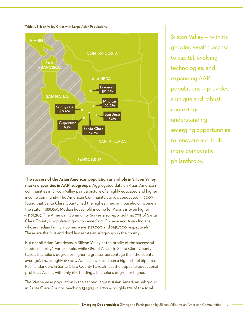Table II. Silicon Valley Cities with Large Asian Populations



**The success of the Asian American population as a whole in Silicon Valley masks disparities in AAPI subgroups.** Aggregated data on Asian American communities in Silicon Valley paint a picture of a highly educated and higher income community. The American Community Survey, conducted in 2009, found that Santa Clara County had the highest median household income in the state — \$85,569. Median household income for Asians is even higher — \$101,389. The American Community Survey also reported that 71% of Santa Clara County's population growth came from Chinese and Asian Indians, whose median family incomes were \$127,000 and \$148,000 respectively.<sup>9</sup> These are the first and third largest Asian subgroups in the county.

But not all Asian Americans in Silicon Valley fit the profile of the successful "model minority." For example, while 58% of Asians in Santa Clara County have a bachelor's degree or higher (a greater percentage than the county average), 11% (roughly 60,000 Asians) have less than a high school diploma. Pacific Islanders in Santa Clara County have almost the opposite educational profile as Asians, with only 15% holding a bachelor's degree or higher.<sup>10</sup>

The Vietnamese population is the second largest Asian American subgroup in Santa Clara County, reaching 134,525 in 2010 — roughly 8% of the total

Silicon Valley — with its growing wealth, access to capital, evolving technologies, and expanding AAPI populations — provides a unique and robust context for understanding emerging opportunities to innovate and build more democratic philanthropy.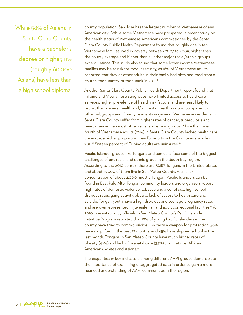While 58% of Asians in Santa Clara County have a bachelor's degree or higher, 11% (roughly 60,000 Asians) have less than a high school diploma.

county population. San Jose has the largest number of Vietnamese of any American city.<sup>11</sup> While some Vietnamese have prospered, a recent study on the health status of Vietnamese Americans commissioned by the Santa Clara County Public Health Department found that roughly one in ten Vietnamese families lived in poverty between 2007 to 2009, higher than the county average and higher than all other major racial/ethnic groups except Latinos. This study also found that some lower-income Vietnamese families may be at risk for food insecurity, as 16% of Vietnamese adults reported that they or other adults in their family had obtained food from a church, food pantry, or food bank in 2011.<sup>12</sup>

Another Santa Clara County Public Health Department report found that Filipino and Vietnamese subgroups have limited access to healthcare services, higher prevalence of health risk factors, and are least likely to report their general health and/or mental health as good compared to other subgroups and County residents in general. Vietnamese residents in Santa Clara County suffer from higher rates of cancer, tuberculosis and heart disease than most other racial and ethnic groups. More than onefourth of Vietnamese adults (26%) in Santa Clara County lacked health care coverage, a higher proportion than for adults in the County as a whole in 2011.<sup>13</sup> Sixteen percent of Filipino adults are uninsured.<sup>14</sup>

Pacific Islander groups like Tongans and Samoans face some of the biggest challenges of any racial and ethnic group in the South Bay region. According to the 2010 census, there are 57,183 Tongans in the United States, and about 13,000 of them live in San Mateo County. A smaller concentration of about 2,000 (mostly Tongan) Pacific Islanders can be found in East Palo Alto. Tongan community leaders and organizers report high rates of domestic violence, tobacco and alcohol use, high school dropout rates, gang activity, obesity, lack of access to health care and suicide. Tongan youth have a high drop out and teenage pregnancy rates and are overrepresented in juvenile hall and adult correctional facilities.<sup>15</sup> A 2010 presentation by officials in San Mateo County's Pacific Islander Initiative Program reported that 19% of young Pacific Islanders in the county have tried to commit suicide, 11% carry a weapon for protection, 56% have shoplifted in the past 12 months, and 45% have skipped school in the last month. Tongans in San Mateo County have much higher rates of obesity (46%) and lack of prenatal care (33%) than Latinos, African Americans, whites and Asians.<sup>16</sup>

The disparities in key indicators among different AAPI groups demonstrate the importance of examining disaggregated data in order to gain a more nuanced understanding of AAPI communities in the region.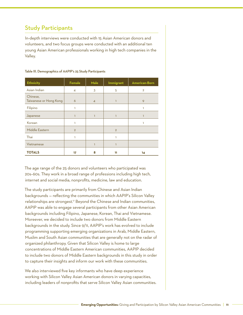# Study Participants

In-depth interviews were conducted with 15 Asian American donors and volunteers, and two focus groups were conducted with an additional ten young Asian American professionals working in high tech companies in the Valley.

| <b>Ethnicity</b>                   | Female         | Male           | <b>Immigrant</b> | <b>American-Born</b> |
|------------------------------------|----------------|----------------|------------------|----------------------|
| Asian Indian                       | $\overline{4}$ | 3              | 5                | $\overline{2}$       |
| Chinese,<br>Taiwanese or Hong Kong | 6              | $\overline{4}$ | ٦                | 9                    |
| Filipino                           | ı              |                |                  |                      |
| Japanese                           |                |                |                  |                      |
| Korean                             | ı              |                |                  |                      |
| Middle Eastern                     | $\overline{2}$ |                | $\overline{2}$   |                      |
| Thai                               | ı              |                | ı                |                      |
| Vietnamese                         |                | T              | ı                |                      |
| <b>TOTALS</b>                      | 17             | 8              | 11               | 14                   |

#### Table III. Demographics of AAPIP's 25 Study Participants

The age range of the 25 donors and volunteers who participated was 20s–60s. They work in a broad range of professions including high tech, internet and social media, nonprofits, medicine, law and education.

The study participants are primarily from Chinese and Asian Indian backgrounds — reflecting the communities in which AAPIP's Silicon Valley relationships are strongest.<sup>17</sup> Beyond the Chinese and Indian communities, AAPIP was able to engage several participants from other Asian American backgrounds including Filipino, Japanese, Korean, Thai and Vietnamese. Moreever, we decided to include two donors from Middle Eastern backgrounds in the study. Since 9/11, AAPIP's work has evolved to include programming supporting emerging organizations in Arab, Middle Eastern, Muslim and South Asian communities that are generally not on the radar of organized philanthropy. Given that Silicon Valley is home to large concentrations of Middle Eastern American communities, AAPIP decided to include two donors of Middle Eastern backgrounds in this study in order to capture their insights and inform our work with these communities.

We also interviewed five key informants who have deep experience working with Silicon Valley Asian American donors in varying capacities, including leaders of nonprofits that serve Silicon Valley Asian communities.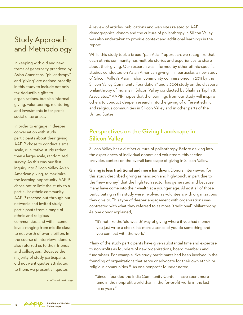# Study Approach and Methodology

In keeping with old and new forms of generosity practiced by Asian Americans, "philanthropy" and "giving" are defined broadly in this study to include not only tax-deductible gifts to organizations, but also informal giving, volunteering, mentoring and investments in for-profit social enterprises.

In order to engage in deeper conversation with study participants about their giving, AAPIP chose to conduct a small scale, qualitative study rather than a large-scale, randomized survey. As this was our first inquiry into Silicon Valley Asian American giving, to maximize the learning opportunity AAPIP chose not to limit the study to a particular ethnic community. AAPIP reached out through our networks and invited study participants from a range of ethnic and religious communities, and with income levels ranging from middle class to net worth of over a billion. In the course of interviews, donors also referred us to their friends and colleagues. Because the majority of study participants did not want quotes attributed to them, we present all quotes

*continued next page*

A review of articles, publications and web sites related to AAPI demographics, donors and the culture of philanthropy in Silicon Valley was also undertaken to provide context and additional learnings in the report.

While this study took a broad "pan-Asian" approach, we recognize that each ethnic community has multiple stories and experiences to share about their giving. Our research was informed by other ethnic-specific studies conducted on Asian American giving — in particular, a new study of Silicon Valley's Asian Indian community commissioned in 2011 by the Silicon Valley Community Foundation<sup>18</sup> and a 2001 study on the diaspora philanthropy of Indians in Silicon Valley conducted by Shahnaz Taplin & Associates.<sup>19</sup> AAPIP hopes that the learnings from our study will inspire others to conduct deeper research into the giving of different ethnic and religious communities in Silicon Valley and in other parts of the United States.

# Perspectives on the Giving Landscape in Silicon Valley

Silicon Valley has a distinct culture of philanthropy. Before delving into the experiences of individual donors and volunteers, this section provides context on the overall landscape of giving in Silicon Valley.

**Giving is less traditional and more hands-on.** Donors interviewed for this study described giving as hands-on and high-touch, in part due to the "new money" that the high tech sector has generated and because many have come into their wealth at a younger age. Almost all of those participating in this study were involved as volunteers with organizations they give to. This type of deeper engagement with organizations was contrasted with what they referred to as more "traditional" philanthropy. As one donor explained,

"It's not like the 'old wealth' way of giving where if you had money you just write a check. It's more a sense of you do something and you connect with the work."

Many of the study participants have given substantial time and expertise to nonprofits as founders of new organizations, board members and fundraisers. For example, five study participants had been involved in the founding of organizations that serve or advocate for their own ethnic or religious communities.<sup>20</sup> As one nonprofit founder noted,

"Since I founded the India Community Center, I have spent more time in the nonprofit world than in the for-profit world in the last nine years."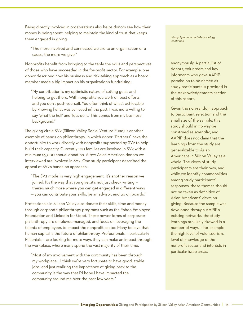Being directly involved in organizations also helps donors see how their money is being spent, helping to maintain the kind of trust that keeps them engaged in giving.

"The more involved and connected we are to an organization or a cause, the more we give."

Nonprofits benefit from bringing to the table the skills and perspectives of those who have succeeded in the for-profit sector. For example, one donor described how his business and risk-taking approach as a board member made a big impact on his organization's fundraising:

"My contribution is my optimistic nature of setting goals and helping to get there. With nonprofits you work on best efforts and you don't push yourself. You often think of what's achievable by knowing [what was achieved in] the past. I was more willing to say 'what the hell' and 'let's do it.' This comes from my business background."

The giving circle SV2 (Silicon Valley Social Venture Fund) is another example of hands-on philanthropy, in which donor "Partners" have the opportunity to work directly with nonprofits supported by SV2 to help build their capacity. Currently 100 families are involved in SV2 with a minimum \$5,000 annual donation. A few Asian American donors we interviewed are involved in SV2. One study participant described the appeal of SV2's hands-on approach:

"The SV2 model is very high engagement. It's another reason we joined. It's the way that you give…it's not just check writing there's much more where you can get engaged in different ways — you can contribute your skills, be an advisor, end up on boards."

Professionals in Silicon Valley also donate their skills, time and money through corporate philanthropy programs such as the Yahoo Employee Foundation and LinkedIn for Good. These newer forms of corporate philanthropy are employee-managed, and focus on leveraging the talents of employees to impact the nonprofit sector. Many believe that human capital is the future of philanthropy. Professionals — particularly Millenials — are looking for more ways they can make an impact through the workplace, where many spend the vast majority of their time.

"Most of my involvement with the community has been through my workplace… I think we're very fortunate to have good, stable jobs, and just realizing the importance of giving back to the community is the way that I'd hope I have impacted the community around me over the past few years."

*Study Approach and Methodology continued*

anonymously. A partial list of donors, volunteers and key informants who gave AAPIP permission to be named as study participants is provided in the Acknowledgements section of this report.

Given the non-random approach to participant selection and the small size of the sample, this study should in no way be construed as scientific, and AAPIP does not claim that the learnings from the study are generalizable to Asian Americans in Silicon Valley as a whole. The views of study participants are their own, and while we identify commonalities among study participants' responses, these themes should not be taken as definitive of Asian Americans' views on giving. Because the sample was developed through AAPIP's existing networks, the study learnings are likely skewed in a number of ways — for example the high level of volunteerism, level of knowledge of the nonprofit sector and interests in particular issue areas.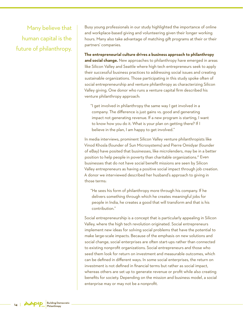Many believe that human capital is the future of philanthropy. Busy young professionals in our study highlighted the importance of online and workplace-based giving and volunteering given their longer working hours. Many also take advantage of matching gift programs at their or their partners' companies.

**The entrepreneurial culture drives a business approach to philanthropy and social change.** New approaches to philanthropy have emerged in areas like Silicon Valley and Seattle where high tech entrepreneurs seek to apply their successful business practices to addressing social issues and creating sustainable organizations. Those participating in this study spoke often of social entrepreneurship and venture philanthropy as characterizing Silicon Valley giving. One donor who runs a venture capital firm described his venture philanthropy approach:

"I get involved in philanthropy the same way I get involved in a company. The difference is just gains vs. good and generating impact not generating revenue. If a new program is starting, I want to know how you do it. What is your plan on getting there? If I believe in the plan, I am happy to get involved."

In media interviews, prominent Silicon Valley venture philanthropists like Vinod Khosla (founder of Sun Microsystems) and Pierre Omidyar (founder of eBay) have posited that businesses, like microlenders, may be in a better position to help people in poverty than charitable organizations.<sup>21</sup> Even businesses that do not have social benefit missions are seen by Silicon Valley entrepreneurs as having a positive social impact through job creation. A donor we interviewed described her husband's approach to giving in those terms:

"He sees his form of philanthropy more through his company. If he delivers something through which he creates meaningful jobs for people in India, he creates a good that will transform and that is his contribution."

Social entrepreneurship is a concept that is particularly appealing in Silicon Valley, where the high tech revolution originated. Social entrepreneurs implement new ideas for solving social problems that have the potential to make large-scale impacts. Because of the emphasis on new solutions and social change, social enterprises are often start-ups rather than connected to existing nonprofit organizations. Social entrepreneurs and those who seed them look for return on investment and measurable outcomes, which can be defined in different ways. In some social enterprises, the return on investment is not defined in financial terms but rather as social impact, whereas others are set up to generate revenue or profit while also creating benefits for society. Depending on the mission and business model, a social enterprise may or may not be a nonprofit.

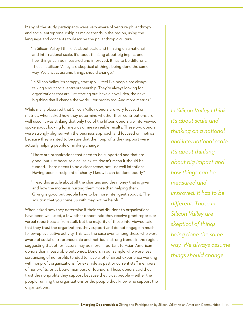Many of the study participants were very aware of venture philanthropy and social entrepreneurship as major trends in the region, using the language and concepts to describe the philanthropic culture:

"In Silicon Valley I think it's about scale and thinking on a national and international scale. It's about thinking about big impact and how things can be measured and improved. It has to be different. Those in Silicon Valley are skeptical of things being done the same way. We always assume things should change."

"In Silicon Valley, it's scrappy, startup-y… I feel like people are always talking about social entrepreneurship. They're always looking for organizations that are just starting out, have a novel idea, the next big thing that'll change the world... for-profits too. And more metrics."

While many observed that Silicon Valley donors are very focused on metrics, when asked how they determine whether their contributions are well used, it was striking that only two of the fifteen donors we interviewed spoke about looking for metrics or measureable results. These two donors were strongly aligned with the business approach and focused on metrics because they wanted to be sure that the nonprofits they support were actually helping people or making change.

"There are organizations that need to be supported and that are good, but just because a cause exists doesn't mean it should be funded. There needs to be a clear sense, not just well intentions. Having been a recipient of charity I know it can be done poorly."

"I read this article about all the charities and the money that is given and how the money is hurting them more than helping them. Giving is good but people have to be more intelligent about it. The solution that you come up with may not be helpful."

When asked how they determine if their contributions to organizations have been well-used, a few other donors said they receive grant reports or verbal report-backs from staff. But the majority of those interviewed said that they trust the organizations they support and do not engage in much follow-up evaluative activity. This was the case even among those who were aware of social entrepreneurship and metrics as strong trends in the region, suggesting that other factors may be more important to Asian American donors than measurable outcomes. Donors in our sample who were less scrutinizing of nonprofits tended to have a lot of direct experience working with nonprofit organizations, for example as past or current staff members of nonprofits, or as board members or founders. These donors said they trust the nonprofits they support because they trust people — either the people running the organizations or the people they know who support the organizations.

*In Silicon Valley I think it's about scale and thinking on a national and international scale. It's about thinking about big impact and how things can be measured and improved. It has to be different. Those in Silicon Valley are skeptical of things being done the same way. We always assume things should change.*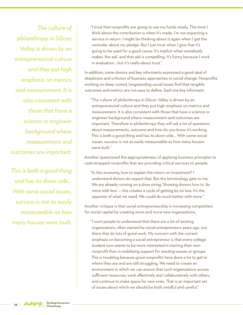*The culture of philanthropy in Silicon Valley is driven by an entrepreneurial culture and they put high emphasis on metrics and measurement. It is also consistent with those that have a science or engineer background where measurement and outcomes are important.*

*This is both a good thing and has its down side… With some social issues, success is not as easily measureable as how many houses were built.*

"I trust that nonprofits are going to use my funds wisely. The most I think about the contribution is when it's made. I'm not expecting a service in return. I might be thinking about it again when I get the reminder about my pledge. But I just trust when I give that it's going to be used for a good cause. It's implicit when somebody makes 'the ask' and that ask is compelling. It's funny because I work in evaluation... but it's really about trust."

In addition, some donors and key informants expressed a good deal of skepticism and criticism of business approaches to social change. Nonprofits working on deep rooted, longstanding social issues find that tangible outcomes and metrics are not easy to define. Said one key informant:

"The culture of philanthropy in Silicon Valley is driven by an entrepreneurial culture and they put high emphasis on metrics and measurement. It is also consistent with those that have a science or engineer background where measurement and outcomes are important. Therefore in philanthropy they will ask a lot of questions about measurements, outcome and how do you know it's working. This is both a good thing and has its down side… With some social issues, success is not as easily measureable as how many houses were built."

Another questioned the appropriateness of applying business principles to cash-strapped nonprofits that are providing critical services to people:

"In this economy, how to explain the return on investment? I understand donors do expect that. But the terminology gets to me. We are already running on a shoe string. Showing donors how to 'do more with less' — this creates a cycle of getting by on less. It's the opposite of what we need. We could do much better with more."

Another critique is that social entrepreneurship is increasing competition for social capital by creating more and more new organizations.

"I want people to understand that there are a lot of existing organizations, often started by social entrepreneurs years ago, out there that do lots of good work. My concern with the current emphasis on becoming a social entrepreneur is that every college student now seems to be more interested in starting their own nonprofit than in mobilizing support for existing causes or groups. This is troubling because good nonprofits have done a lot to get to where they are and are still struggling. We need to create an environment in which we can ensure that such organizations access sufficient resources, work effectively and collaboratively with others, and continue to make space for new ones. That is an important set of issues about which we should be both mindful and careful."

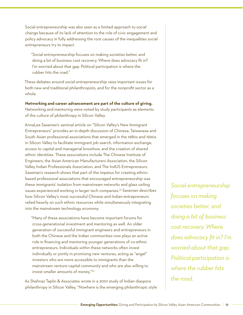Social entrepreneurship was also seen as a limited approach to social change because of its lack of attention to the role of civic engagement and policy advocacy in fully addressing the root causes of the inequalities social entrepreneurs try to impact.

"Social entrepreneurship focuses on making societies better, and doing a bit of business cost recovery. Where does advocacy fit in? I'm worried about that gap. Political participation is where the rubber hits the road."

These debates around social entrepreneurship raise important issues for both new and traditional philanthropists, and for the nonprofit sector as a whole.

**Networking and career advancement are part of the culture of giving.** Networking and mentoring were noted by study participants as elements of the culture of philanthropy in Silicon Valley.

AnnaLee Saxenian's seminal article on "Silicon Valley's New Immigrant Entrepreneurs" provides an in-depth discussion of Chinese, Taiwanese and South Asian professional associations that emerged in the 1980s and 1990s in Silicon Valley to facilitate immigrant job search, information exchange, access to capital and managerial knowhow, and the creation of shared ethnic identities. These associations include The Chinese Institute of Engineers, the Asian American Manufacturers Association, the Silicon Valley Indian Professionals Association, and The IndUS Entrepreneurs. Saxenian's research shows that part of the impetus for creating ethnicbased professional associations that encouraged entrepreneurship was these immigrants' isolation from mainstream networks and glass ceiling issues experienced working in larger tech companies.<sup>22</sup> Saxenian describes how Silicon Valley's most successful Chinese and Indian entrepreneurs relied heavily on such ethnic resources while simultaneously integrating into the mainstream technology economy:

"Many of these associations have become important forums for cross-generational investment and mentoring as well. An older generation of successful immigrant engineers and entrepreneurs in both the Chinese and the Indian communities now plays an active role in financing and mentoring younger generations of co-ethnic entrepreneurs. Individuals within these networks often invest individually or jointly in promising new ventures, acting as "angel" investors who are more accessible to immigrants than the mainstream venture capital community and who are also willing to invest smaller amounts of money."23

As Shahnaz Taplin & Associates wrote in a 2001 study of Indian diaspora philanthropy in Silicon Valley, "Nowhere is the emerging philanthropic style

*Social entrepreneurship focuses on making societies better, and doing a bit of business cost recovery. Where does advocacy fit in? I'm worried about that gap. Political participation is where the rubber hits the road.*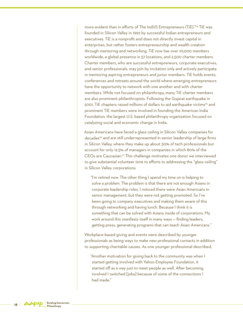more evident than in efforts of The IndUS Entrepreneurs (TiE)."24 TiE was founded in Silicon Valley in 1992 by successful Indian entrepreneurs and executives. TiE is a nonprofit and does not directly invest capital in enterprises, but rather fosters entrepreneurship and wealth creation through mentoring and networking. TiE now has over 10,000 members worldwide, a global presence in 57 locations, and 2,500 charter members. Charter members, who are successful entrepreneurs, corporate executives, and senior professionals, may join by invitation only and actively participate in mentoring aspiring entrepreneurs and junior members. TiE holds events, conferences and retreats around the world where emerging entrepreneurs have the opportunity to network with one another and with charter members. While not focused on philanthropy, many TiE charter members are also prominent philanthropists. Following the Gujarat earthquake in 2001, TiE chapters raised millions of dollars to aid earthquake victims<sup>25</sup> and prominent TiE members were involved in founding the American India Foundation, the largest U.S. based philanthropy organization focused on catalyzing social and economic change in India.

Asian Americans have faced a glass ceiling in Silicon Valley companies for decades<sup>26</sup> and are still underrepresented in senior leadership of large firms in Silicon Valley, where they make up about 30% of tech professionals but account for only 12.5% of managers in companies in which 80% of the CEOs are Caucasian.27 This challenge motivates one donor we interviewed to give substantial volunteer time to efforts to addressing the "glass ceiling" in Silicon Valley corporations:

"I'm retired now. The other thing I spend my time on is helping to solve a problem. The problem is that there are not enough Asians in corporate leadership roles. I noticed there were Asian Americans in senior management, but they were not getting promoted. So I've been going to company executives and making them aware of this through networking and having lunch. Because I think it is something that can be solved with Asians inside of corporations. My work around this manifests itself in many ways — finding leaders, getting press, generating programs that can teach Asian Americans."

Workplace-based giving and events were described by younger professionals as being ways to make new professional contacts in addition to supporting charitable causes. As one younger professional described,

"Another motivation for giving back to the community was when I started getting involved with Yahoo Employee Foundation, it started off as a way just to meet people as well. After becoming involved I switched [jobs] because of some of the connections I had made."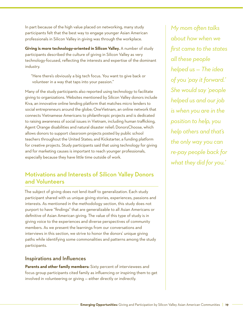In part because of the high value placed on networking, many study participants felt that the best way to engage younger Asian American professionals in Silicon Valley in giving was through the workplace.

**Giving is more technology-oriented in Silicon Valley.** A number of study participants described the culture of giving in Silicon Valley as very technology-focused, reflecting the interests and expertise of the dominant industry.

"Here there's obviously a big tech focus. You want to give back or volunteer in a way that taps into your passion."

Many of the study participants also reported using technology to facilitate giving to organizations. Websites mentioned by Silicon Valley donors include Kiva, an innovative online lending platform that matches micro lenders to social entrepreneurs around the globe; OneVietnam, an online network that connects Vietnamese Americans to philanthropic projects and is dedicated to raising awareness of social issues in Vietnam, including human trafficking, Agent Orange disabilities and natural disaster relief; DonorsChoose, which allows donors to support classroom projects posted by public school teachers throughout the United States; and Kickstarter, a funding platform for creative projects. Study participants said that using technology for giving and for marketing causes is important to reach younger professionals, especially because they have little time outside of work.

# Motivations and Interests of Silicon Valley Donors and Volunteers

The subject of giving does not lend itself to generalization. Each study participant shared with us unique giving stories, experiences, passions and interests. As mentioned in the methodology section, this study does not purport to have "findings" that are generalizable to all Asian Americans or definitive of Asian American giving. The value of this type of study is in giving voice to the experiences and diverse perspectives of community members. As we present the learnings from our conversations and interviews in this section, we strive to honor the donors' unique giving paths while identifying some commonalities and patterns among the study participants.

### Inspirations and Influences

**Parents and other family members:** Sixty percent of interviewees and focus group participants cited family as influencing or inspiring them to get involved in volunteering or giving — either directly or indirectly.

*My mom often talks about how when we first came to the states all these people helped us — The idea of you 'pay it forward.' She would say 'people helped us and our job is when you are in the position to help, you help others and that's the only way you can re-pay people back for what they did for you.'*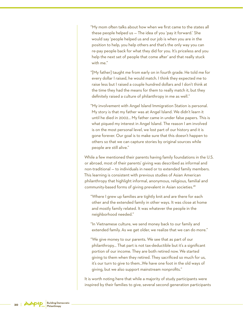"My mom often talks about how when we first came to the states all these people helped us — The idea of you 'pay it forward.' She would say 'people helped us and our job is when you are in the position to help, you help others and that's the only way you can re-pay people back for what they did for you. It's priceless and you help the next set of people that come after' and that really stuck with me."

"[My father] taught me from early on in fourth grade. He told me for every dollar I raised, he would match. I think they expected me to raise less but I raised a couple hundred dollars and I don't think at the time they had the means for them to really match it, but they definitely raised a culture of philanthropy in me as well."

"My involvement with Angel Island Immigration Station is personal. My story is that my father was at Angel Island. We didn't learn it until he died in 2002... My father came in under false papers. This is what piqued my interest in Angel Island. The reason I am involved is on the most personal level, we lost part of our history and it is gone forever. Our goal is to make sure that this doesn't happen to others so that we can capture stories by original sources while people are still alive."

While a few mentioned their parents having family foundations in the U.S. or abroad, most of their parents' giving was described as informal and non-traditional — to individuals in need or to extended family members. This learning is consistent with previous studies of Asian American philanthropy that highlight informal, anonymous, religious, familial and community-based forms of giving prevalent in Asian societies.<sup>28</sup>

"Where I grew up families are tightly knit and are there for each other and the extended family in other ways. It was close at home and mostly family related. It was whatever the people in the neighborhood needed."

"In Vietnamese culture, we send money back to our family and extended family. As we get older, we realize that we can do more."

"We give money to our parents. We see that as part of our philanthropy… That part is not tax-deductible but it's a significant portion of our income. They are both retired now. We started giving to them when they retired. They sacrificed so much for us, it's our turn to give to them…We have one foot in the old ways of giving, but we also support mainstream nonprofits."

It is worth noting here that while a majority of study participants were inspired by their families to give, several second generation participants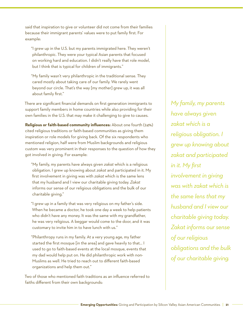said that inspiration to give or volunteer did not come from their families because their immigrant parents' values were to put family first. For example:

"I grew up in the U.S. but my parents immigrated here. They weren't philanthropic. They were your typical Asian parents that focused on working hard and education. I didn't really have that role model, but I think that is typical for children of immigrants."

"My family wasn't very philanthropic in the traditional sense. They cared mostly about taking care of our family. We rarely went beyond our circle. That's the way [my mother] grew up, it was all about family first."

There are significant financial demands on first generation immigrants to support family members in home countries while also providing for their own families in the U.S. that may make it challenging to give to causes.

**Religious or faith-based community influences:** About one fourth (24%) cited religious traditions or faith-based communities as giving them inspiration or role models for giving back. Of the six respondents who mentioned religion, half were from Muslim backgrounds and religious custom was very prominent in their responses to the question of how they got involved in giving. For example:

"My family, my parents have always given *zakat* which is a religious obligation. I grew up knowing about *zakat* and participated in it. My first involvement in giving was with *zakat* which is the same lens that my husband and I view our charitable giving today. *Zakat* informs our sense of our religious obligations and the bulk of our charitable giving."

"I grew up in a family that was very religious on my father's side. When he became a doctor, he took one day a week to help patients who didn't have any money. It was the same with my grandfather, he was very religious. A beggar would come to the door, and it was customary to invite him in to have lunch with us."

"Philanthropy runs in my family. At a very young age, my father started the first mosque [in the area] and gave heavily to that… I used to go to faith-based events at the local mosque, events that my dad would help put on. He did philanthropic work with non-Muslims as well. He tried to reach out to different faith-based organizations and help them out."

Two of those who mentioned faith traditions as an influence referred to faiths different from their own backgrounds:

*My family, my parents have always given zakat which is a religious obligation. I grew up knowing about zakat and participated in it. My first involvement in giving was with zakat which is the same lens that my husband and I view our charitable giving today. Zakat informs our sense of our religious obligations and the bulk of our charitable giving.*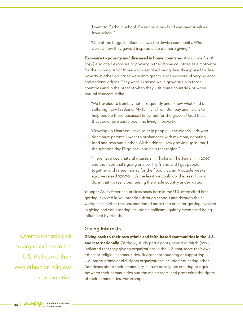"I went to Catholic school. I'm not religious but I was taught values from school."

"One of the biggest influences was the Jewish community. When we saw how they gave, it inspired us to do more giving."

**Exposure to poverty and dire need in home countries:** About one fourth (24%) also cited exposure to poverty in their home countries as a motivator for their giving. All of those who described being directly exposed to dire poverty in other countries were immigrants, and they were of varying ages and national origins. They were exposed while growing up in those countries and in the present when they visit home countries, or when natural disasters strike.

"We traveled to Bombay not infrequently and I know what kind of suffering I saw firsthand. My family is from Bombay and I want to help people there because I know but for the grace of God that that could have easily been me living in poverty."

"Growing up I learned I have to help people — the elderly, kids who don't have parents. I went to orphanages with my mom, donating food and toys and clothes. All the things I saw growing up in Iran, I thought one day I'll go back and help that region."

"There have been natural disasters in Thailand. The Tsunami in 2007 and the flood that's going on now. My friend and I got people together and raised money for the flood victims. A couple weeks ago, we raised \$7,000… It's the least we could do, the least I could do, in that it's really bad seeing the whole country under water."

Younger Asian American professionals born in the U.S. often cited first getting involved in volunteering through schools and through their workplaces. Other reasons mentioned more than once for getting involved in giving and volunteering included significant liquidity events and being influenced by friends.

### Giving Interests

**Giving back to their own ethnic and faith-based communities in the U.S. and internationally.** Of the 25 study participants, over two-thirds (68%) indicated that they give to organizations in the U.S. that serve their own ethnic or religious communities. Reasons for founding or supporting U.S.-based ethnic or civil rights organizations included educating other Americans about their community, culture or religion; creating bridges between their communities and the mainstream; and protecting the rights of their communities. For example:

Over two-thirds give to organizations in the U.S. that serve their own ethnic or religious communities.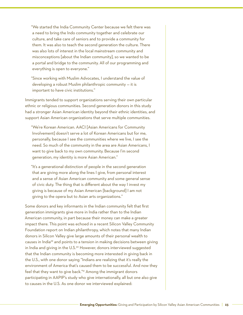"We started the India Community Center because we felt there was a need to bring the Indo community together and celebrate our culture, and take care of seniors and to provide a community for them. It was also to teach the second generation the culture. There was also lots of interest in the local mainstream community and misconceptions [about the Indian community], so we wanted to be a portal and bridge to the community. All of our programming and everything is open to everyone."

"Since working with Muslim Advocates, I understand the value of developing a robust Muslim philanthropic community — it is important to have civic institutions."

Immigrants tended to support organizations serving their own particular ethnic or religious communities. Second generation donors in this study had a stronger Asian American identity beyond their ethnic identities, and support Asian American organizations that serve multiple communities.

"We're Korean American. AACI [Asian Americans for Community Involvement] doesn't serve a lot of Korean Americans but for me, personally, because I see the communities where we live, I see the need. So much of the community in the area are Asian Americans, I want to give back to my own community. Because I'm second generation, my identity is more Asian American."

"It's a generational distinction of people in the second generation that are giving more along the lines I give, from personal interest and a sense of Asian American community and some general sense of civic duty. The thing that is different about the way I invest my giving is because of my Asian American [background] I am not giving to the opera but to Asian arts organizations."

Some donors and key informants in the Indian community felt that first generation immigrants give more in India rather than to the Indian American community, in part because their money can make a greater impact there. This point was echoed in a recent Silicon Valley Community Foundation report on Indian philanthropy, which notes that many Indian donors in Silicon Valley give large amounts of their personal wealth to causes in India<sup>29</sup> and points to a tension in making decisions between giving in India and giving in the U.S.<sup>30</sup> However, donors interviewed suggested that the Indian community is becoming more interested in giving back in the U.S., with one donor saying "Indians are realizing that it's really the environment of America that's caused them to be successful. And now they feel that they want to give back."31 Among the immigrant donors participating in AAPIP's study who give internationally, all but one also give to causes in the U.S. As one donor we interviewed explained: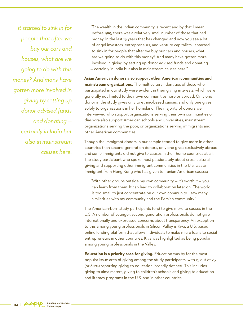*It started to sink in for people that after we buy our cars and houses, what are we going to do with this money? And many have gotten more involved in giving by setting up donor advised funds and donating certainly in India but also in mainstream causes here.*

"The wealth in the Indian community is recent and by that I mean before 1995 there was a relatively small number of those that had money. In the last 15 years that has changed and now you see a lot of angel investors, entrepreneurs, and venture capitalists. It started to sink in for people that after we buy our cars and houses, what are we going to do with this money? And many have gotten more involved in giving by setting up donor advised funds and donating — certainly in India but also in mainstream causes here."

**Asian American donors also support other American communities and mainstream organizations.** The multicultural identities of those who participated in our study were evident in their giving interests, which were generally not limited to their own communities here or abroad. Only one donor in the study gives only to ethnic-based causes, and only one gives solely to organizations in her homeland. The majority of donors we interviewed who support organizations serving their own communities or diaspora also support American schools and universities, mainstream organizations serving the poor, or organizations serving immigrants and other American communities.

Though the immigrant donors in our sample tended to give more in other countries than second generation donors, only one gives exclusively abroad, and some immigrants did not give to causes in their home countries at all. The study participant who spoke most passionately about cross-cultural giving and supporting other immigrant communities in the U.S. was an immigrant from Hong Kong who has given to Iranian American causes:

"With other groups outside my own community — it's worth it — you can learn from them. It can lead to collaboration later on…The world is too small to just concentrate on our own community. I saw many similarities with my community and the Persian community."

The American-born study participants tend to give more to causes in the U.S. A number of younger, second generation professionals do not give internationally and expressed concerns about transparency. An exception to this among young professionals in Silicon Valley is Kiva, a U.S. based online lending platform that allows individuals to make micro loans to social entrepreneurs in other countries. Kiva was highlighted as being popular among young professionals in the Valley.

**Education is a priority area for giving.** Education was by far the most popular issue area of giving among the study participants, with 15 out of 25 (or 60%) reporting giving to education, broadly defined. This includes giving to alma maters, giving to children's schools and giving to education and literacy programs in the U.S. and in other countries.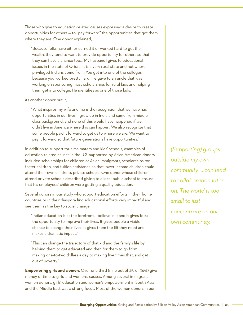Those who give to education-related causes expressed a desire to create opportunities for others — to "pay forward" the opportunities that got them where they are. One donor explained,

"Because folks have either earned it or worked hard to get their wealth, they tend to want to provide opportunity for others so that they can have a chance too…[My husband] gives to educational issues in the state of Orissa. It is a very rural state and not where privileged Indians come from. You get into one of the colleges because you worked pretty hard. He gave to an uncle that was working on sponsoring mass scholarships for rural kids and helping them get into college. He identifies as one of those kids."

#### As another donor put it,

"What inspires my wife and me is the recognition that we have had opportunities in our lives. I grew up in India and came from middle class background, and none of this would have happened if we didn't live in America where this can happen. We also recognize that some people paid it forward to get us to where we are. We want to pay it forward so that future generations have opportunities."

In addition to support for alma maters and kids' schools, examples of education-related causes in the U.S. supported by Asian American donors included scholarships for children of Asian immigrants, scholarships for foster children, and tuition assistance so that lower income children could attend their own children's private schools. One donor whose children attend private schools described giving to a local public school to ensure that his employees' children were getting a quality education.

Several donors in our study who support education efforts in their home countries or in their diaspora find educational efforts very impactful and see them as the key to social change.

"Indian education is at the forefront. I believe in it and it gives folks the opportunity to improve their lives. It gives people a viable chance to change their lives. It gives them the lift they need and makes a dramatic impact."

"This can change the trajectory of that kid and the family's life by helping them to get educated and then for them to go from making one-to-two dollars a day to making five times that, and get out of poverty."

**Empowering girls and women.** Over one third (nine out of 25, or 36%) give money or time to girls' and women's causes. Among several immigrant women donors, girls' education and women's empowerment in South Asia and the Middle East was a strong focus. Most of the women donors in our

*(Supporting) groups outside my own community … can lead to collaboration later on. The world is too small to just concentrate on our own community.*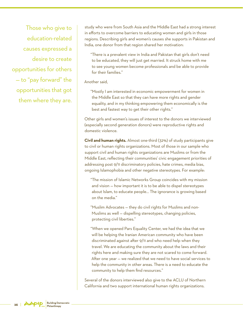Those who give to education-related causes expressed a desire to create opportunities for others — to "pay forward" the opportunities that got them where they are.

study who were from South Asia and the Middle East had a strong interest in efforts to overcome barriers to educating women and girls in those regions. Describing girls and women's causes she supports in Pakistan and India, one donor from that region shared her motivation:

"There is a prevalent view in India and Pakistan that girls don't need to be educated, they will just get married. It struck home with me to see young women become professionals and be able to provide for their families."

### Another said,

"Mostly I am interested in economic empowerment for women in the Middle East so that they can have more rights and gender equality, and in my thinking empowering them economically is the best and fastest way to get their other rights."

Other girls and women's issues of interest to the donors we interviewed (especially second generation donors) were reproductive rights and domestic violence.

**Civil and human rights.** Almost one-third (32%) of study participants give to civil or human rights organizations. Most of those in our sample who support civil and human rights organizations are Muslims or from the Middle East, reflecting their communities' civic engagement priorities of addressing post 9/11 discriminatory policies, hate crimes, media bias, ongoing Islamophobia and other negative stereotypes. For example:

"The mission of Islamic Networks Group coincides with my mission and vision — how important it is to be able to dispel stereotypes about Islam, to educate people… The ignorance is growing based on the media."

"Muslim Advocates — they do civil rights for Muslims and non-Muslims as well — dispelling stereotypes, changing policies, protecting civil liberties."

"When we opened Pars Equality Center, we had the idea that we will be helping the Iranian American community who have been discriminated against after 9/11 and who need help when they travel. We are educating the community about the laws and their rights here and making sure they are not scared to come forward. After one year - we realized that we need to have social services to help the community in other areas. There is a need to educate the community to help them find resources."

Several of the donors interviewed also give to the ACLU of Northern California and two support international human rights organizations.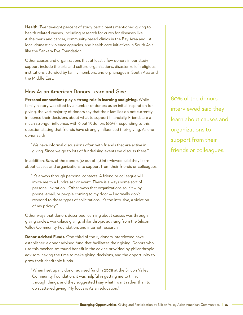**Health:** Twenty-eight percent of study participants mentioned giving to health-related causes, including research for cures for diseases like Alzheimer's and cancer, community-based clinics in the Bay Area and LA, local domestic violence agencies, and health care initiatives in South Asia like the Sankara Eye Foundation.

Other causes and organizations that at least a few donors in our study support include the arts and culture organizations, disaster relief, religious institutions attended by family members, and orphanages in South Asia and the Middle East.

### How Asian American Donors Learn and Give

**Personal connections play a strong role in learning and giving.** While family history was cited by a number of donors as an initial inspiration for giving, the vast majority of donors say that their families do not currently influence their decisions about what to support financially. Friends are a much stronger influence, with 9 out 15 donors (60%) responding to this question stating that friends have strongly influenced their giving. As one donor said:

"We have informal discussions often with friends that are active in giving. Since we go to lots of fundraising events we discuss there."

In addition, 80% of the donors (12 out of 15) interviewed said they learn about causes and organizations to support from their friends or colleagues.

"It's always through personal contacts. A friend or colleague will invite me to a fundraiser or event. There is always some sort of personal invitation… Other ways that organizations solicit — by phone, email, or people coming to my door — I normally don't respond to those types of solicitations. It's too intrusive, a violation of my privacy."

Other ways that donors described learning about causes was through giving circles, workplace giving, philanthropic advising from the Silicon Valley Community Foundation, and internet research.

**Donor Advised Funds.** One-third of the 15 donors interviewed have established a donor advised fund that facilitates their giving. Donors who use this mechanism found benefit in the advice provided by philanthropic advisors, having the time to make giving decisions, and the opportunity to grow their charitable funds.

"When I set up my donor advised fund in 2005 at the Silicon Valley Community Foundation, it was helpful in getting me to think through things, and they suggested I say what I want rather than to do scattered giving. My focus is Asian education."

80% of the donors interviewed said they learn about causes and organizations to support from their friends or colleagues.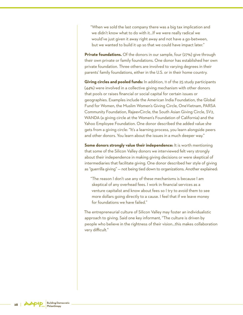"When we sold the last company there was a big tax implication and we didn't know what to do with it…If we were really radical we would've just given it away right away and not have a go-between, but we wanted to build it up so that we could have impact later."

**Private foundations.** Of the donors in our sample, four (27%) give through their own private or family foundations. One donor has established her own private foundation. Three others are involved to varying degrees in their parents' family foundations, either in the U.S. or in their home country.

**Giving circles and pooled funds:** In addition, 11 of the 25 study participants (44%) were involved in a collective giving mechanism with other donors that pools or raises financial or social capital for certain issues or geographies. Examples include the American India Foundation, the Global Fund for Women, the Muslim Women's Giving Circle, OneVietnam, PARSA Community Foundation, RajeevCircle, the South Asian Giving Circle, SV2, WANDA (a giving circle at the Women's Foundation of California) and the Yahoo Employee Foundation. One donor described the added value she gets from a giving circle: "It's a learning process, you learn alongside peers and other donors. You learn about the issues in a much deeper way."

**Some donors strongly value their independence:** It is worth mentioning that some of the Silicon Valley donors we interviewed felt very strongly about their independence in making giving decisions or were skeptical of intermediaries that facilitate giving. One donor described her style of giving as "guerrilla giving" — not being tied down to organizations. Another explained:

"The reason I don't use any of these mechanisms is because I am skeptical of any overhead fees. I work in financial services as a venture capitalist and know about fees so I try to avoid them to see more dollars going directly to a cause. I feel that if we leave money for foundations we have failed."

The entrepreneurial culture of Silicon Valley may foster an individualistic approach to giving. Said one key informant, "The culture is driven by people who believe in the rightness of their vision…this makes collaboration very difficult."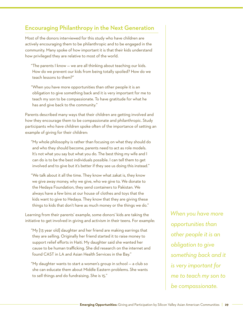# Encouraging Philanthropy in the Next Generation

Most of the donors interviewed for this study who have children are actively encouraging them to be philanthropic and to be engaged in the community. Many spoke of how important it is that their kids understand how privileged they are relative to most of the world.

- "The parents I know we are all thinking about teaching our kids. How do we prevent our kids from being totally spoiled? How do we teach lessons to them?"
- "When you have more opportunities than other people it is an obligation to give something back and it is very important for me to teach my son to be compassionate. To have gratitude for what he has and give back to the community."

Parents described many ways that their children are getting involved and how they encourage them to be compassionate and philanthropic. Study participants who have children spoke often of the importance of setting an example of giving for their children:

- "My whole philosophy is rather than focusing on what they should do and who they should become, parents need to act as role models. It's not what you say but what you do. The best thing my wife and I can do is to be the best individuals possible. I can tell them to get involved and to give but it's better if they see us doing this instead."
- "We talk about it all the time. They know what zakat is, they know we give away money, why we give, who we give to. We donate to the Hedaya Foundation, they send containers to Pakistan. We always have a few bins at our house of clothes and toys that the kids want to give to Hedaya. They know that they are giving these things to kids that don't have as much money or the things we do."

Learning from their parents' example, some donors' kids are taking the initiative to get involved in giving and activism in their teens. For example:

- "My [13 year old] daughter and her friend are making earrings that they are selling. Originally her friend started it to raise money to support relief efforts in Haiti. My daughter said she wanted her cause to be human trafficking. She did research on the internet and found CAST in LA and Asian Health Services in the Bay."
- "My daughter wants to start a women's group in school a club so she can educate them about Middle Eastern problems. She wants to sell things and do fundraising. She is 15."

*When you have more opportunities than other people it is an obligation to give something back and it is very important for me to teach my son to be compassionate.*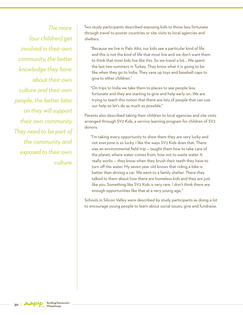*The more (our children) get involved in their own community, the better knowledge they have about their own culture and their own people, the better later on they will support their own community. They need to be part of the community and exposed to their own culture.*

Two study participants described exposing kids to those less fortunate through travel to poorer countries or site visits to local agencies and shelters.

"Because we live in Palo Alto, our kids see a particular kind of life and this is not the kind of life that most live and we don't want them to think that most kids live like this. So we travel a lot… We spent the last two summers in Turkey. They know what it is going to be like when they go to India. They save up toys and baseball caps to give to other children."

"On trips to India we take them to places to see people less fortunate and they are starting to give and help early on…We are trying to teach this notion that there are lots of people that can use our help so let's do as much as possible."

Parents also described taking their children to local agencies and site visits arranged through SV2 Kids, a service learning program for children of SV2 donors.

"I'm taking every opportunity to show them they are very lucky and not everyone is so lucky. I like the ways SV2 Kids does that. There was an environmental field trip — taught them how to take care of the planet, where water comes from, how not to waste water. It really works — they know when they brush their teeth they have to turn off the water. My seven year old knows that riding a bike is better than driving a car. We went to a family shelter. There they talked to them about how there are homeless kids and they are just like you. Something like SV2 Kids is very rare. I don't think there are enough opportunities like that at a very young age."

Schools in Silicon Valley were described by study participants as doing a lot to encourage young people to learn about social issues, give and fundraise.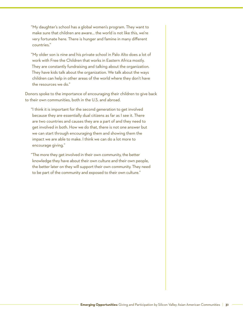"My daughter's school has a global women's program. They want to make sure that children are aware… the world is not like this, we're very fortunate here. There is hunger and famine in many different countries."

"My older son is nine and his private school in Palo Alto does a lot of work with Free the Children that works in Eastern Africa mostly. They are constantly fundraising and talking about the organization. They have kids talk about the organization. We talk about the ways children can help in other areas of the world where they don't have the resources we do."

Donors spoke to the importance of encouraging their children to give back to their own communities, both in the U.S. and abroad.

"I think it is important for the second generation to get involved because they are essentially dual citizens as far as I see it. There are two countries and causes they are a part of and they need to get involved in both. How we do that, there is not one answer but we can start through encouraging them and showing them the impact we are able to make. I think we can do a lot more to encourage giving."

"The more they get involved in their own community, the better knowledge they have about their own culture and their own people, the better later on they will support their own community. They need to be part of the community and exposed to their own culture."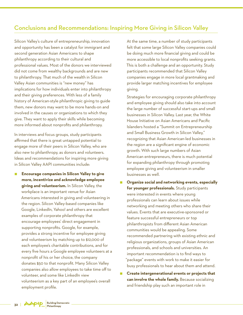## Conclusions and Recommendations: Inspiring More Giving in Silicon Valley

Silicon Valley's culture of entrepreneurship, innovation and opportunity has been a catalyst for immigrant and second generation Asian Americans to shape philanthropy according to their cultural and professional values. Most of the donors we interviewed did not come from wealthy backgrounds and are new to philanthropy. That much of the wealth in Silicon Valley Asian communities is "new money" has implications for how individuals enter into philanthropy and their giving preferences. With less of a family history of American-style philanthropic giving to guide them, new donors may want to be more hands-on and involved in the causes or organizations to which they give. They want to apply their skills while becoming more informed about nonprofits and philanthropy.

In interviews and focus groups, study participants affirmed that there is great untapped potential to engage more of their peers in Silicon Valley, who are also new to philanthropy, as donors and volunteers. Ideas and recommendations for inspiring more giving in Silicon Valley AAPI communities include:

■ Encourage companies in Silicon Valley to give **more, incentivize and acknowledge employee giving and volunteerism.** In Silicon Valley, the workplace is an important venue for Asian Americans interested in giving and volunteering in the region. Silicon Valley-based companies like Google, LinkedIn, Yahoo! and others are excellent examples of corporate philanthropy that encourage employees' direct engagement in supporting nonprofits. Google, for example, provides a strong incentive for employee giving and volunteerism by matching up to \$12,000 of each employee's charitable contributions, and for every five hours a Google employee volunteers at a nonprofit of his or her choice, the company donates \$50 to that nonprofit. Many Silicon Valley companies also allow employees to take time off to volunteer, and some like LinkedIn view volunteerism as a key part of an employee's overall employment profile.

At the same time, a number of study participants felt that some large Silicon Valley companies could be doing much more financial giving and could be more accessible to local nonprofits seeking grants. This is both a challenge and an opportunity. Study participants recommended that Silicon Valley companies engage in more local grantmaking and provide larger matching incentives for employee giving.

Strategies for encouraging corporate philanthropy and employee giving should also take into account the large number of successful start-ups and small businesses in Silicon Valley. Last year, the White House Initiative on Asian Americans and Pacific Islanders hosted a "Summit on Entrepreneurship and Small Business Growth in Silicon Valley," recognizing that Asian American-led businesses in the region are a significant engine of economic growth. With such large numbers of Asian American entrepreneurs, there is much potential for expanding philanthropy through promoting employee giving and volunteerism in smaller businesses as well.

- Q **Organize social and networking events, especially for younger professionals.** Study participants were interested in events where young professionals can learn about issues while networking and meeting others who share their values. Events that are executive-sponsored or feature successful entrepreneurs or top philanthropists from different Asian American communities would be appealing. Some recommended partnering with existing ethnic and religious organizations, groups of Asian American professionals, and schools and universities. An important recommendation is to find ways to "package" events with work to make it easier for busy professionals to hear about them and attend.
- Q **Create intergenerational events or projects that can involve the whole family.** Because socializing and friendship play such an important role in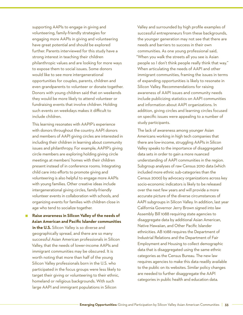supporting AAPIs to engage in giving and volunteering, family-friendly strategies for engaging more AAPIs in giving and volunteering have great potential and should be explored further. Parents interviewed for this study have a strong interest in teaching their children philanthropic values and are looking for more ways to expose them to social issues. Some donors would like to see more intergenerational opportunities for couples, parents, children and even grandparents to volunteer or donate together. Donors with young children said that on weekends they would be more likely to attend volunteer or fundraising events that involve children. Holding such events on weekdays makes it difficult to include children.

This learning resonates with AAPIP's experience with donors throughout the country. AAPI donors and members of AAPI giving circles are interested in including their children in learning about community issues and philanthropy. For example, AAPIP's giving circle members are exploring holding giving circle meetings at members' homes with their children present instead of in conference rooms. Integrating child care into efforts to promote giving and volunteering is also helpful to engage more AAPIs with young families. Other creative ideas include intergenerational giving circles, family-friendly volunteer events in collaboration with schools, and organizing events for families with children close in age who tend to socialize together.

Q **Raise awareness in Silicon Valley of the needs of Asian American and Pacific Islander communities in the U.S.** Silicon Valley is so diverse and geographically spread, and there are so many successful Asian American professionals in Silicon Valley, that the needs of lower-income AAPIs and immigrant communities may be obscured. It is worth noting that more than half of the young Silicon Valley professionals born in the U.S. who participated in the focus groups were less likely to target their giving or volunteering to their ethnic, homeland or religious backgrounds. With such large AAPI and immigrant populations in Silicon

Valley and surrounded by high profile examples of successful entrepreneurs from these backgrounds, the younger generation may not see that there are needs and barriers to success in their own communities. As one young professional said, "When you walk the streets all you see is Asian people so I don't think people really think that way." When articulating the needs of AAPI and other immigrant communities, framing the issues in terms of expanding opportunities is likely to resonate in Silicon Valley. Recommendations for raising awareness of AAPI issues and community needs include publicizing statistics on AAPI communities and information about AAPI organizations. In addition, giving circles and learning circles focused on specific issues were appealing to a number of study participants.

The lack of awareness among younger Asian Americans working in high tech companies that there are low-income, struggling AAPIs in Silicon Valley speaks to the importance of disaggregated data sets in order to gain a more nuanced understanding of AAPI communities in the region. Subgroup analyses of raw Census 2010 data (which included more ethnic sub-categories than the Census 2000) by advocacy organizations across key socio-economic indicators is likely to be released over the next few years and will provide a more accurate picture of the diverse circumstances of AAPI subgroups in Silicon Valley. In addition, last year California Governor Jerry Brown signed into law Assembly Bill 1088 requiring state agencies to disaggregate data by additional Asian American, Native Hawaiian, and Other Pacific Islander ethnicities. AB 1088 requires the Department of Industrial Relations and the Department of Fair Employment and Housing to collect demographic data that is disaggregated using the same ethnic categories as the Census Bureau. The new law requires agencies to make this data readily available to the public on its websites. Similar policy changes are needed to further disaggregate the AAPI categories in public health and education data.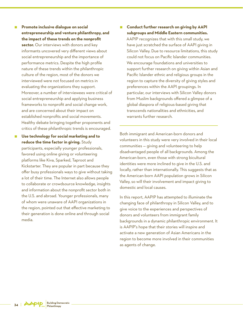Q **Promote inclusive dialogue on social entrepreneurship and venture philanthropy, and the impact of these trends on the nonprofit sector.** Our interviews with donors and key informants uncovered very different views about social entrepreneurship and the importance of performance metrics. Despite the high profile nature of these trends within the philanthropic culture of the region, most of the donors we interviewed were not focused on metrics in evaluating the organizations they support. Moreover, a number of interviewees were critical of social entrepreneurship and applying business frameworks to nonprofit and social change work, and are concerned about their impact on established nonprofits and social movements. Healthy debate bringing together proponents and critics of these philanthropic trends is encouraged.

■ Use technology for social marketing and to **reduce the time factor in giving.** Study participants, especially younger professionals, favored using online giving or volunteering platforms like Kiva, Sparked, Taproot and Kickstarter. They are popular in part because they offer busy professionals ways to give without taking a lot of their time. The Internet also allows people to collaborate or crowdsource knowledge, insights and information about the nonprofit sector both in the U.S. and abroad. Younger professionals, many of whom were unaware of AAPI organizations in the region, pointed out that effective marketing to their generation is done online and through social media.

### Q **Conduct further research on giving by AAPI subgroups and Middle Eastern communities.**

AAPIP recognizes that with this small study, we have just scratched the surface of AAPI giving in Silicon Valley. Due to resource limitations, this study could not focus on Pacific Islander communities. We encourage foundations and universities to support further research on giving within Asian and Pacific Islander ethnic and religious groups in the region to capture the diversity of giving styles and preferences within the AAPI groupings. In particular, our interviews with Silicon Valley donors from Muslim backgrounds offered a glimpse of a global diaspora of religious-based giving that transcends nationalities and ethnicities, and warrants further research.

Both immigrant and American-born donors and volunteers in this study were very involved in their local communities — giving and volunteering to help disadvantaged people of all backgrounds. Among the American-born, even those with strong bicultural identities were more inclined to give in the U.S. and locally, rather than internationally. This suggests that as the American-born AAPI population grows in Silicon Valley, so will their involvement and impact giving to domestic and local causes.

In this report, AAPIP has attempted to illuminate the changing face of philanthropy in Silicon Valley, and to give voice to the experiences and perspectives of donors and volunteers from immigrant family backgrounds in a dynamic philanthropic environment. It is AAPIP's hope that their stories will inspire and activate a new generation of Asian Americans in the region to become more involved in their communities as agents of change.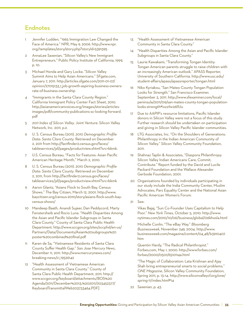# **Endnotes**

- Jennifer Ludden, "1965 Immigration Law Changed the Face of America." NPR, May 9, 2006. http://www.npr. org/templates/story/story.php?storyId=5391395
- 2 AnnaLee Saxenian, "Silicon Valley's New Immigrant Entrepreneurs." Public Policy Institute of California, 1999, p. 10.
- 3 Michael Honda and Gary Locke, "Silicon Valley Summit Aims to Help Asian Americans." SFgate.com, January 7, 2011. http://articles.sfgate.com/2011-01-07/ opinion/27015133\_1\_job-growth-aspiring-business-ownersrate-of-business-ownership
- 4 "Immigrants in the Santa Clara County Region." California Immigrant Policy Center Fact Sheet, 2010. http://asianamericanvoices.org/images/stories/articlesimages/pdf/community-publications-sc-looking-forward. pdf
- 5 *2011 Index of Silicon Valley*. Joint Venture: Silicon Valley Network, Inc. 2011, p.2.
- 6 U. S. Census Bureau (2011). *2010 Demographic Profile Data: Santa Clara County*. Retrieved on December 2, 2011 from http://factfinder2.census.gov/faces/ tableservices/jsf/pages/productview.xhtml?src=bkmk.
- 7 U.S. Census Bureau, "Facts for Features: Asian Pacific American Heritage Month," March 2, 2010.
- 8 U. S. Census Bureau (2011). *2010 Demographic Profile Data: Santa Clara County*. Retrieved on December 2, 2011, from http://factfinder2.census.gov/faces/ tableservices/jsf/pages/productview.xhtml?src=bkmk
- 9 Aaron Glantz, "Asians Flock to South Bay, Census Shows." The Bay Citizen, March 12, 2001. http://www. baycitizen.org/census-2010/story/asians-flock-south-baycensus-shows/
- 10 Mandeep Baath, Anandi Sujeer, Dan Peddycord, Marty Fenstersheib and Rocio Luna. "Health Disparities Among the Asian and Pacific Islander Subgroups in Santa Clara County." County of Santa Clara Public Health Department. http://www.sccgov.org/sites/sccphd/en-us/ Partners/Data/Documents/Asian%20subgroups%20 poster%20combined%20final.pdf
- 11 Karen de Sa, "Vietnamese Residents of Santa Clara County Suffer Health Gap." *San Jose Mercury News*, December 11, 2011. http://www.mercurynews.com/ breaking-news/ci\_19526142
- 12 "Health Assessment of Vietnamese American Community in Santa Clara County." County of Santa Clara Public Health Department, 2011. http:// www.sccgov.org/keyboard/attachments/BOS%20 Agenda/2011/December%2013,%202011/203452377/ KeyboardTransmittalWeb203733464.PDF]
- 13 "Health Assessment of Vietnamese American Community in Santa Clara County."
- 14 "Health Disparities Among the Asian and Pacific Islander Subgroups in Santa Clara County."
- 15 Laurie Kawakami, "Transforming Tongan Identity: Tongan American parents struggle to raise children with an increasingly American outlook." APASS Reporter, University of Southern California. http://www.usc.edu/ student-affairs/apass/apassreporter/tongan.html
- 16 Niko Kyriakou, "San Mateo County Tongan Population Looks for Strength." San Francisco Examiner, September 3, 2011. http://www.sfexaminer.com/local/ peninsula/2011/09/san-mateo-county-tongan-populationlooks-strength#ixzz1lw26lIUu
- 17 Due to AAPIP's resource limitations, Pacific Islander donors in Silicon Valley were not a focus of this study. Further research should be undertaken on participation and giving in Silicon Valley Pacific Islander communities.
- 18 LTG Associates, Inc. "On the Shoulders of Generations: Philanthropy in the Indian American Community of Silicon Valley." Silicon Valley Community Foundation, 2011.
- 19 Shahnaz Taplin & Associates, "Diaspora Philanthropy: Silicon Valley Indian Americans Care, Commit, Contribute." Report funded by the David and Lucile Packard Foundation and the Wallace Alexander Gerbode Foundation, 2001.
- 20 Organizations founded by individuals participating in our study include the India Community Center, Muslim Advocates, Pars Equality Center and the National Asian Pacific American Women's Forum.
- 21 See:

Vikas Bajaj, "Sun Co-Founder Uses Capitalism to Help Poor." *New York Times*, October 5, 2010. http://www. nytimes.com/2010/10/06/business/global/06khosla.html

Michelle Conlin, "The eBay Way." *Bloomberg Businessweek*, November 249, 2004. http://www. businessweek.com/magazine/content/04\_48/b3910407. htm

Quentin Hardy, "The Radical Philanthropist." Forbes.com, May 1, 2000. http://www.forbes.com/ forbes/2000/0501/6510114a.html

"The Magic of Collaboration: Lata Krishnan and Ajay Shah bring entrepreneurial smarts to social problems." *ONE Magazine*, Silicon Valley Community Foundation, Spring 2011, p. 13–14. http://www.siliconvalleycf.org/one/ spring-11/index.html#14

22 Saxenian, p. 43.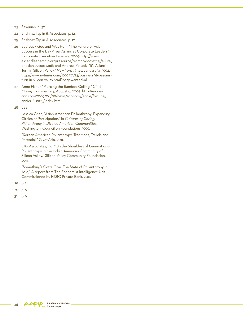- 23 Saxenian, p. 32.
- 24 Shahnaz Taplin & Associates, p. 12.
- 25 Shahnaz Taplin & Associates, p. 12.
- 26 See Buck Gee and Wes Hom, "The Failure of Asian Success in the Bay Area: Asians as Corporate Leaders." Corporate Executive Initiative, 2009 http://www. ascendleadership.org/resource/resmgr/docs/the\_failure\_ of\_asian\_success.pdf; and Andrew Pollack, "It's Asians' Turn in Silicon Valley." *New York Times*, January 14, 1992. http://www.nytimes.com/1992/01/14/business/it-s-asiansturn-in-silicon-valley.html?pagewanted=all
- 27 Anne Fisher, "Piercing the Bamboo Ceiling." CNN Money Commentary, August 8, 2005. http://money. cnn.com/2005/08/08/news/economy/annie/fortune\_ annie080805/index.htm
- 28 See:

Jessica Chao, "Asian-American Philanthropy: Expanding Circles of Participation," in *Cultures of Caring: Philanthropy in Diverse American Communities*. Washington: Council on Foundations, 1999.

"Korean American Philanthropy: Traditions, Trends and Potential." Give2Asia, 2011.

LTG Associates, Inc. "On the Shoulders of Generations: Philanthropy in the Indian American Community of Silicon Valley." Silicon Valley Community Foundation, 2011.

"Something's Gotta Give: The State of Philanthropy in Asia," A report from The Economist Intelligence Unit Commissioned by HSBC Private Bank, 2011.

- 29 p. 1
- 30 p. 9
- 31 p. 16.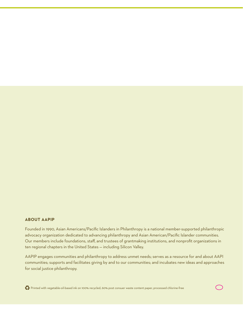### **ABOUT AAPIP**

Founded in 1990, Asian Americans/Pacific Islanders in Philanthropy is a national member-supported philanthropic advocacy organization dedicated to advancing philanthropy and Asian American/Pacific Islander communities. Our members include foundations, staff, and trustees of grantmaking institutions, and nonprofit organizations in ten regional chapters in the United States — including Silicon Valley.

AAPIP engages communities and philanthropy to address unmet needs; serves as a resource for and about AAPI communities; supports and facilitates giving by and to our communities; and incubates new ideas and approaches for social justice philanthropy.

Printed with vegetable-oil-based ink on 100% recycled, 60% post consuer waste content paper, processed chlorine-free